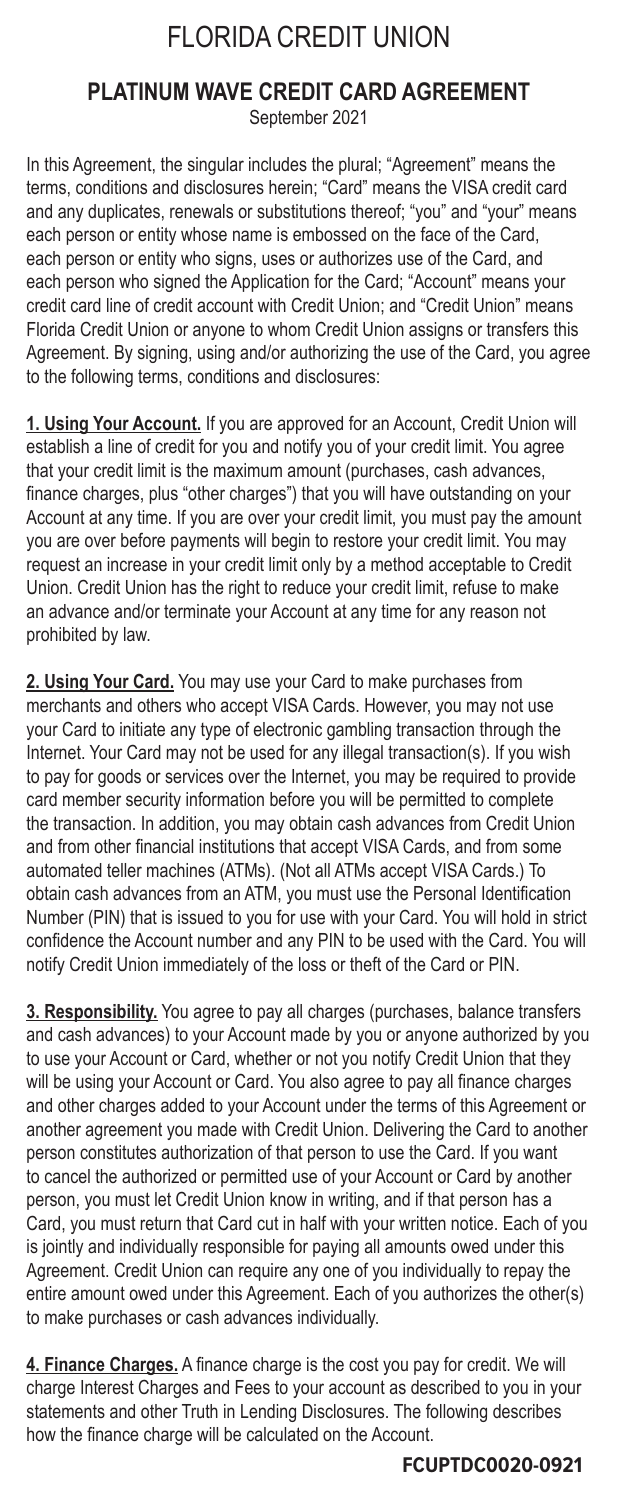# FLORIDA CREDIT UNION

# **PLATINUM WAVE CREDIT CARD AGREEMENT**

September 2021

In this Agreement, the singular includes the plural; "Agreement" means the terms, conditions and disclosures herein; "Card" means the VISA credit card and any duplicates, renewals or substitutions thereof; "you" and "your" means each person or entity whose name is embossed on the face of the Card, each person or entity who signs, uses or authorizes use of the Card, and each person who signed the Application for the Card; "Account" means your credit card line of credit account with Credit Union; and "Credit Union" means Florida Credit Union or anyone to whom Credit Union assigns or transfers this Agreement. By signing, using and/or authorizing the use of the Card, you agree to the following terms, conditions and disclosures:

**1. Using Your Account.** If you are approved for an Account, Credit Union will establish a line of credit for you and notify you of your credit limit. You agree that your credit limit is the maximum amount (purchases, cash advances, finance charges, plus "other charges") that you will have outstanding on your Account at any time. If you are over your credit limit, you must pay the amount you are over before payments will begin to restore your credit limit. You may request an increase in your credit limit only by a method acceptable to Credit Union. Credit Union has the right to reduce your credit limit, refuse to make an advance and/or terminate your Account at any time for any reason not prohibited by law.

**2. Using Your Card.** You may use your Card to make purchases from merchants and others who accept VISA Cards. However, you may not use your Card to initiate any type of electronic gambling transaction through the Internet. Your Card may not be used for any illegal transaction(s). If you wish to pay for goods or services over the Internet, you may be required to provide card member security information before you will be permitted to complete the transaction. In addition, you may obtain cash advances from Credit Union and from other financial institutions that accept VISA Cards, and from some automated teller machines (ATMs). (Not all ATMs accept VISA Cards.) To obtain cash advances from an ATM, you must use the Personal Identification Number (PIN) that is issued to you for use with your Card. You will hold in strict confidence the Account number and any PIN to be used with the Card. You will notify Credit Union immediately of the loss or theft of the Card or PIN.

**3. Responsibility.** You agree to pay all charges (purchases, balance transfers and cash advances) to your Account made by you or anyone authorized by you to use your Account or Card, whether or not you notify Credit Union that they will be using your Account or Card. You also agree to pay all finance charges and other charges added to your Account under the terms of this Agreement or another agreement you made with Credit Union. Delivering the Card to another person constitutes authorization of that person to use the Card. If you want to cancel the authorized or permitted use of your Account or Card by another person, you must let Credit Union know in writing, and if that person has a Card, you must return that Card cut in half with your written notice. Each of you is jointly and individually responsible for paying all amounts owed under this Agreement. Credit Union can require any one of you individually to repay the entire amount owed under this Agreement. Each of you authorizes the other(s) to make purchases or cash advances individually.

**4. Finance Charges.** A finance charge is the cost you pay for credit. We will charge Interest Charges and Fees to your account as described to you in your statements and other Truth in Lending Disclosures. The following describes how the finance charge will be calculated on the Account.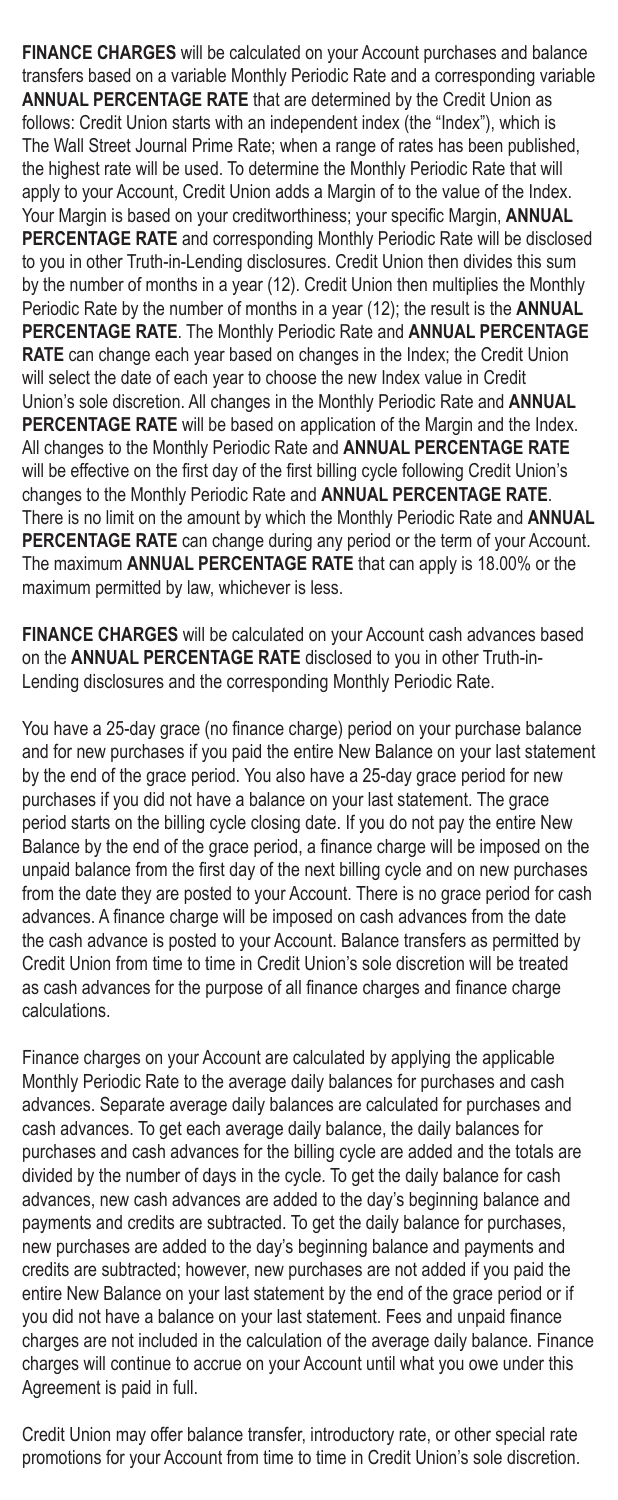**FINANCE CHARGES** will be calculated on your Account purchases and balance transfers based on a variable Monthly Periodic Rate and a corresponding variable **ANNUAL PERCENTAGE RATE** that are determined by the Credit Union as follows: Credit Union starts with an independent index (the "Index"), which is The Wall Street Journal Prime Rate; when a range of rates has been published, the highest rate will be used. To determine the Monthly Periodic Rate that will apply to your Account, Credit Union adds a Margin of to the value of the Index. Your Margin is based on your creditworthiness; your specific Margin, **ANNUAL PERCENTAGE RATE** and corresponding Monthly Periodic Rate will be disclosed to you in other Truth-in-Lending disclosures. Credit Union then divides this sum by the number of months in a year (12). Credit Union then multiplies the Monthly Periodic Rate by the number of months in a year (12); the result is the **ANNUAL PERCENTAGE RATE**. The Monthly Periodic Rate and **ANNUAL PERCENTAGE RATE** can change each year based on changes in the Index; the Credit Union will select the date of each year to choose the new Index value in Credit Union's sole discretion. All changes in the Monthly Periodic Rate and **ANNUAL PERCENTAGE RATE** will be based on application of the Margin and the Index. All changes to the Monthly Periodic Rate and **ANNUAL PERCENTAGE RATE** will be effective on the first day of the first billing cycle following Credit Union's changes to the Monthly Periodic Rate and **ANNUAL PERCENTAGE RATE**. There is no limit on the amount by which the Monthly Periodic Rate and **ANNUAL PERCENTAGE RATE** can change during any period or the term of your Account. The maximum **ANNUAL PERCENTAGE RATE** that can apply is 18.00% or the maximum permitted by law, whichever is less.

**FINANCE CHARGES** will be calculated on your Account cash advances based on the **ANNUAL PERCENTAGE RATE** disclosed to you in other Truth-in-Lending disclosures and the corresponding Monthly Periodic Rate.

You have a 25-day grace (no finance charge) period on your purchase balance and for new purchases if you paid the entire New Balance on your last statement by the end of the grace period. You also have a 25-day grace period for new purchases if you did not have a balance on your last statement. The grace period starts on the billing cycle closing date. If you do not pay the entire New Balance by the end of the grace period, a finance charge will be imposed on the unpaid balance from the first day of the next billing cycle and on new purchases from the date they are posted to your Account. There is no grace period for cash advances. A finance charge will be imposed on cash advances from the date the cash advance is posted to your Account. Balance transfers as permitted by Credit Union from time to time in Credit Union's sole discretion will be treated as cash advances for the purpose of all finance charges and finance charge calculations.

Finance charges on your Account are calculated by applying the applicable Monthly Periodic Rate to the average daily balances for purchases and cash advances. Separate average daily balances are calculated for purchases and cash advances. To get each average daily balance, the daily balances for purchases and cash advances for the billing cycle are added and the totals are divided by the number of days in the cycle. To get the daily balance for cash advances, new cash advances are added to the day's beginning balance and payments and credits are subtracted. To get the daily balance for purchases, new purchases are added to the day's beginning balance and payments and credits are subtracted; however, new purchases are not added if you paid the entire New Balance on your last statement by the end of the grace period or if you did not have a balance on your last statement. Fees and unpaid finance charges are not included in the calculation of the average daily balance. Finance charges will continue to accrue on your Account until what you owe under this Agreement is paid in full.

Credit Union may offer balance transfer, introductory rate, or other special rate promotions for your Account from time to time in Credit Union's sole discretion.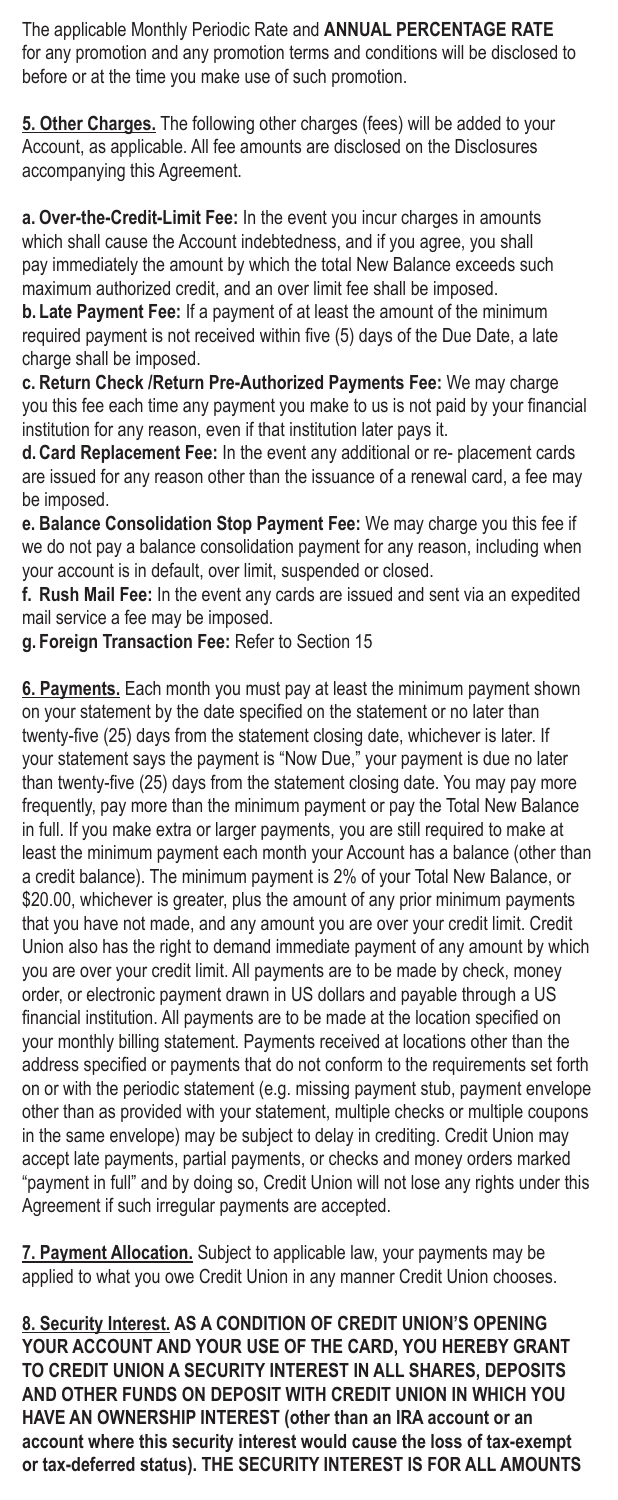The applicable Monthly Periodic Rate and **ANNUAL PERCENTAGE RATE** for any promotion and any promotion terms and conditions will be disclosed to before or at the time you make use of such promotion.

**5. Other Charges.** The following other charges (fees) will be added to your Account, as applicable. All fee amounts are disclosed on the Disclosures accompanying this Agreement.

**a. Over-the-Credit-Limit Fee:** In the event you incur charges in amounts which shall cause the Account indebtedness, and if you agree, you shall pay immediately the amount by which the total New Balance exceeds such maximum authorized credit, and an over limit fee shall be imposed.

**b. Late Payment Fee:** If a payment of at least the amount of the minimum required payment is not received within five (5) days of the Due Date, a late charge shall be imposed.

**c. Return Check /Return Pre-Authorized Payments Fee:** We may charge you this fee each time any payment you make to us is not paid by your financial institution for any reason, even if that institution later pays it.

**d.Card Replacement Fee:** In the event any additional or re- placement cards are issued for any reason other than the issuance of a renewal card, a fee may be imposed.

**e. Balance Consolidation Stop Payment Fee:** We may charge you this fee if we do not pay a balance consolidation payment for any reason, including when your account is in default, over limit, suspended or closed.

**f. Rush Mail Fee:** In the event any cards are issued and sent via an expedited mail service a fee may be imposed.

**g. Foreign Transaction Fee:** Refer to Section 15

**6. Payments.** Each month you must pay at least the minimum payment shown on your statement by the date specified on the statement or no later than twenty-five (25) days from the statement closing date, whichever is later. If your statement says the payment is "Now Due," your payment is due no later than twenty-five (25) days from the statement closing date. You may pay more frequently, pay more than the minimum payment or pay the Total New Balance in full. If you make extra or larger payments, you are still required to make at least the minimum payment each month your Account has a balance (other than a credit balance). The minimum payment is 2% of your Total New Balance, or \$20.00, whichever is greater, plus the amount of any prior minimum payments that you have not made, and any amount you are over your credit limit. Credit Union also has the right to demand immediate payment of any amount by which you are over your credit limit. All payments are to be made by check, money order, or electronic payment drawn in US dollars and payable through a US financial institution. All payments are to be made at the location specified on your monthly billing statement. Payments received at locations other than the address specified or payments that do not conform to the requirements set forth on or with the periodic statement (e.g. missing payment stub, payment envelope other than as provided with your statement, multiple checks or multiple coupons in the same envelope) may be subject to delay in crediting. Credit Union may accept late payments, partial payments, or checks and money orders marked "payment in full" and by doing so, Credit Union will not lose any rights under this Agreement if such irregular payments are accepted.

**7. Payment Allocation.** Subject to applicable law, your payments may be applied to what you owe Credit Union in any manner Credit Union chooses.

**8. Security Interest. AS A CONDITION OF CREDIT UNION'S OPENING YOUR ACCOUNT AND YOUR USE OF THE CARD, YOU HEREBY GRANT TO CREDIT UNION A SECURITY INTEREST IN ALL SHARES, DEPOSITS AND OTHER FUNDS ON DEPOSIT WITH CREDIT UNION IN WHICH YOU HAVE AN OWNERSHIP INTEREST (other than an IRA account or an account where this security interest would cause the loss of tax-exempt or tax-deferred status). THE SECURITY INTEREST IS FOR ALL AMOUNTS**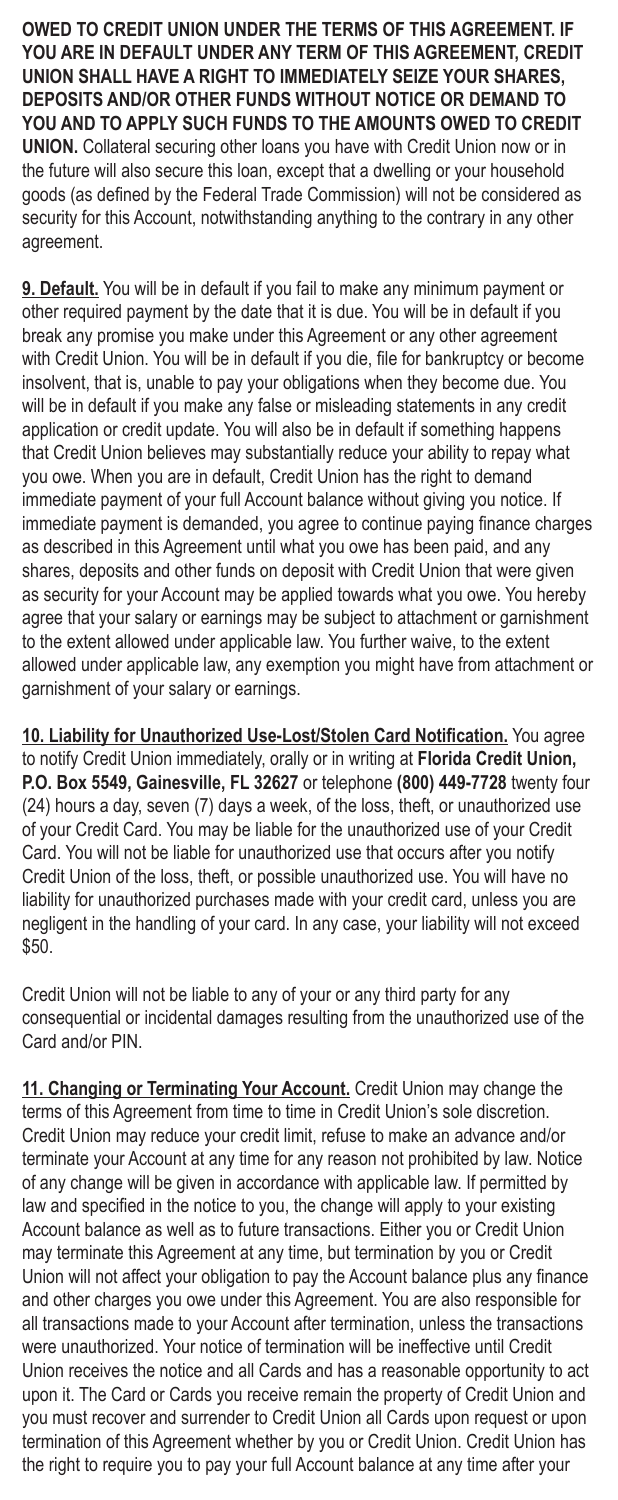**OWED TO CREDIT UNION UNDER THE TERMS OF THIS AGREEMENT. IF YOU ARE IN DEFAULT UNDER ANY TERM OF THIS AGREEMENT, CREDIT UNION SHALL HAVE A RIGHT TO IMMEDIATELY SEIZE YOUR SHARES, DEPOSITS AND/OR OTHER FUNDS WITHOUT NOTICE OR DEMAND TO YOU AND TO APPLY SUCH FUNDS TO THE AMOUNTS OWED TO CREDIT UNION.** Collateral securing other loans you have with Credit Union now or in the future will also secure this loan, except that a dwelling or your household goods (as defined by the Federal Trade Commission) will not be considered as security for this Account, notwithstanding anything to the contrary in any other agreement.

**9. Default.** You will be in default if you fail to make any minimum payment or other required payment by the date that it is due. You will be in default if you break any promise you make under this Agreement or any other agreement with Credit Union. You will be in default if you die, file for bankruptcy or become insolvent, that is, unable to pay your obligations when they become due. You will be in default if you make any false or misleading statements in any credit application or credit update. You will also be in default if something happens that Credit Union believes may substantially reduce your ability to repay what you owe. When you are in default, Credit Union has the right to demand immediate payment of your full Account balance without giving you notice. If immediate payment is demanded, you agree to continue paying finance charges as described in this Agreement until what you owe has been paid, and any shares, deposits and other funds on deposit with Credit Union that were given as security for your Account may be applied towards what you owe. You hereby agree that your salary or earnings may be subject to attachment or garnishment to the extent allowed under applicable law. You further waive, to the extent allowed under applicable law, any exemption you might have from attachment or garnishment of your salary or earnings.

**10. Liability for Unauthorized Use-Lost/Stolen Card Notification.** You agree to notify Credit Union immediately, orally or in writing at **Florida Credit Union, P.O. Box 5549, Gainesville, FL 32627** or telephone **(800) 449-7728** twenty four (24) hours a day, seven (7) days a week, of the loss, theft, or unauthorized use of your Credit Card. You may be liable for the unauthorized use of your Credit Card. You will not be liable for unauthorized use that occurs after you notify Credit Union of the loss, theft, or possible unauthorized use. You will have no liability for unauthorized purchases made with your credit card, unless you are negligent in the handling of your card. In any case, your liability will not exceed \$50.

Credit Union will not be liable to any of your or any third party for any consequential or incidental damages resulting from the unauthorized use of the Card and/or PIN.

**11. Changing or Terminating Your Account.** Credit Union may change the terms of this Agreement from time to time in Credit Union's sole discretion. Credit Union may reduce your credit limit, refuse to make an advance and/or terminate your Account at any time for any reason not prohibited by law. Notice of any change will be given in accordance with applicable law. If permitted by law and specified in the notice to you, the change will apply to your existing Account balance as well as to future transactions. Either you or Credit Union may terminate this Agreement at any time, but termination by you or Credit Union will not affect your obligation to pay the Account balance plus any finance and other charges you owe under this Agreement. You are also responsible for all transactions made to your Account after termination, unless the transactions were unauthorized. Your notice of termination will be ineffective until Credit Union receives the notice and all Cards and has a reasonable opportunity to act upon it. The Card or Cards you receive remain the property of Credit Union and you must recover and surrender to Credit Union all Cards upon request or upon termination of this Agreement whether by you or Credit Union. Credit Union has the right to require you to pay your full Account balance at any time after your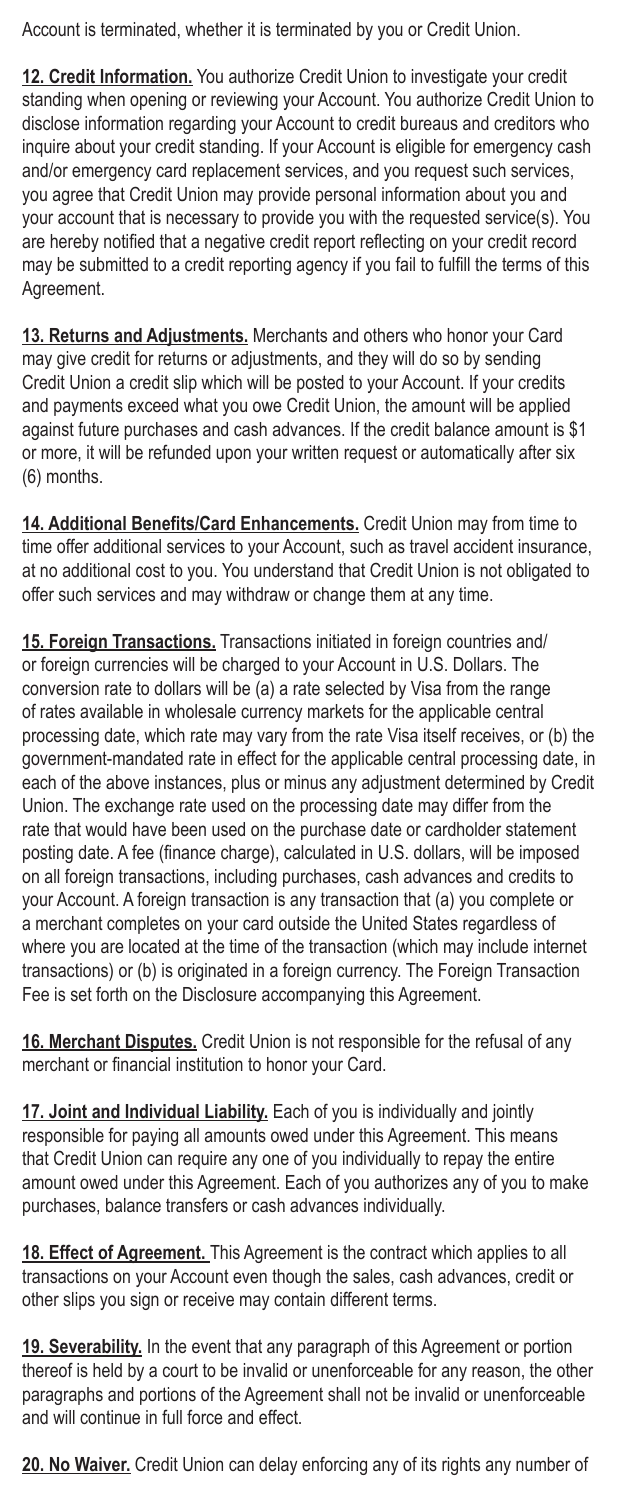Account is terminated, whether it is terminated by you or Credit Union.

**12. Credit Information.** You authorize Credit Union to investigate your credit standing when opening or reviewing your Account. You authorize Credit Union to disclose information regarding your Account to credit bureaus and creditors who inquire about your credit standing. If your Account is eligible for emergency cash and/or emergency card replacement services, and you request such services, you agree that Credit Union may provide personal information about you and your account that is necessary to provide you with the requested service(s). You are hereby notified that a negative credit report reflecting on your credit record may be submitted to a credit reporting agency if you fail to fulfill the terms of this Agreement.

**13. Returns and Adjustments.** Merchants and others who honor your Card may give credit for returns or adjustments, and they will do so by sending Credit Union a credit slip which will be posted to your Account. If your credits and payments exceed what you owe Credit Union, the amount will be applied against future purchases and cash advances. If the credit balance amount is \$1 or more, it will be refunded upon your written request or automatically after six (6) months.

**14. Additional Benefits/Card Enhancements.** Credit Union may from time to time offer additional services to your Account, such as travel accident insurance, at no additional cost to you. You understand that Credit Union is not obligated to offer such services and may withdraw or change them at any time.

**15. Foreign Transactions.** Transactions initiated in foreign countries and/ or foreign currencies will be charged to your Account in U.S. Dollars. The conversion rate to dollars will be (a) a rate selected by Visa from the range of rates available in wholesale currency markets for the applicable central processing date, which rate may vary from the rate Visa itself receives, or (b) the government-mandated rate in effect for the applicable central processing date, in each of the above instances, plus or minus any adjustment determined by Credit Union. The exchange rate used on the processing date may differ from the rate that would have been used on the purchase date or cardholder statement posting date. A fee (finance charge), calculated in U.S. dollars, will be imposed on all foreign transactions, including purchases, cash advances and credits to your Account. A foreign transaction is any transaction that (a) you complete or a merchant completes on your card outside the United States regardless of where you are located at the time of the transaction (which may include internet transactions) or (b) is originated in a foreign currency. The Foreign Transaction Fee is set forth on the Disclosure accompanying this Agreement.

**16. Merchant Disputes.** Credit Union is not responsible for the refusal of any merchant or financial institution to honor your Card.

**17. Joint and Individual Liability.** Each of you is individually and jointly responsible for paying all amounts owed under this Agreement. This means that Credit Union can require any one of you individually to repay the entire amount owed under this Agreement. Each of you authorizes any of you to make purchases, balance transfers or cash advances individually.

**18. Effect of Agreement.** This Agreement is the contract which applies to all transactions on your Account even though the sales, cash advances, credit or other slips you sign or receive may contain different terms.

**19. Severability.** In the event that any paragraph of this Agreement or portion thereof is held by a court to be invalid or unenforceable for any reason, the other paragraphs and portions of the Agreement shall not be invalid or unenforceable and will continue in full force and effect.

**20. No Waiver.** Credit Union can delay enforcing any of its rights any number of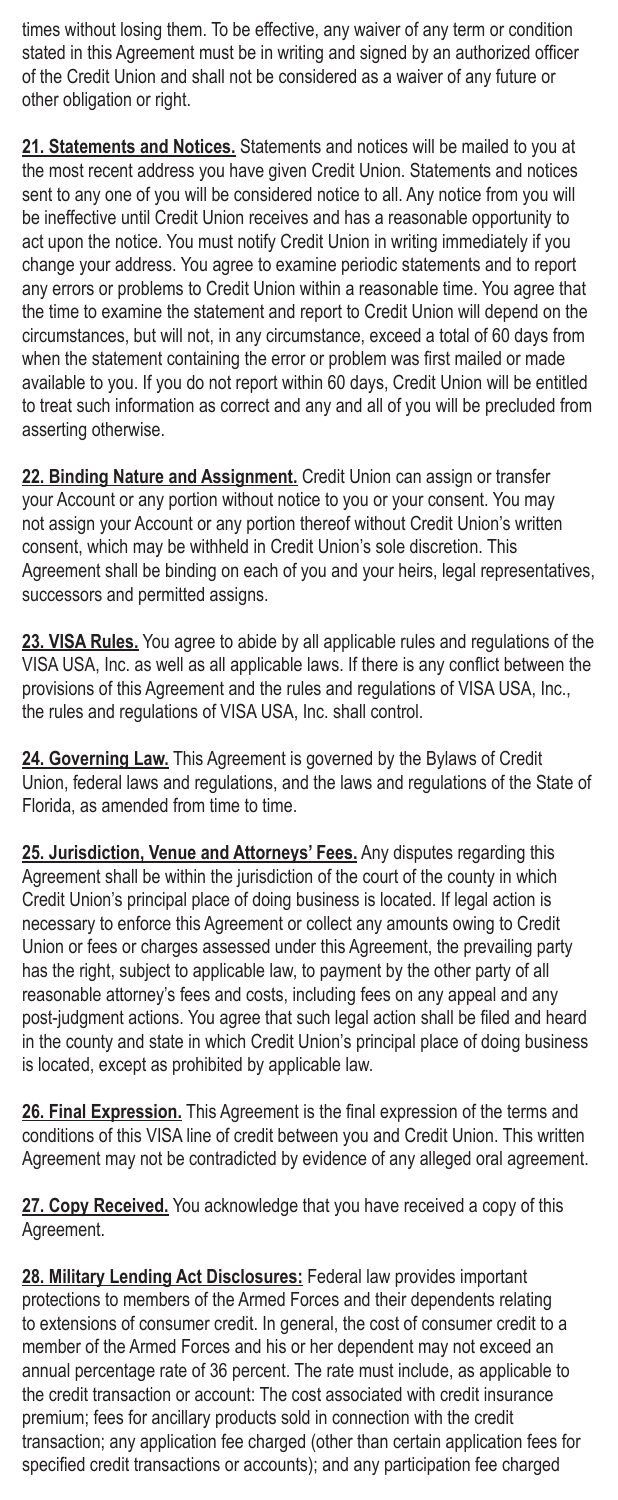times without losing them. To be effective, any waiver of any term or condition stated in this Agreement must be in writing and signed by an authorized officer of the Credit Union and shall not be considered as a waiver of any future or other obligation or right.

**21. Statements and Notices.** Statements and notices will be mailed to you at the most recent address you have given Credit Union. Statements and notices sent to any one of you will be considered notice to all. Any notice from you will be ineffective until Credit Union receives and has a reasonable opportunity to act upon the notice. You must notify Credit Union in writing immediately if you change your address. You agree to examine periodic statements and to report any errors or problems to Credit Union within a reasonable time. You agree that the time to examine the statement and report to Credit Union will depend on the circumstances, but will not, in any circumstance, exceed a total of 60 days from when the statement containing the error or problem was first mailed or made available to you. If you do not report within 60 days, Credit Union will be entitled to treat such information as correct and any and all of you will be precluded from asserting otherwise.

**22. Binding Nature and Assignment.** Credit Union can assign or transfer your Account or any portion without notice to you or your consent. You may not assign your Account or any portion thereof without Credit Union's written consent, which may be withheld in Credit Union's sole discretion. This Agreement shall be binding on each of you and your heirs, legal representatives, successors and permitted assigns.

**23. VISA Rules.** You agree to abide by all applicable rules and regulations of the VISA USA, Inc. as well as all applicable laws. If there is any conflict between the provisions of this Agreement and the rules and regulations of VISA USA, Inc., the rules and regulations of VISA USA, Inc. shall control.

**24. Governing Law.** This Agreement is governed by the Bylaws of Credit Union, federal laws and regulations, and the laws and regulations of the State of Florida, as amended from time to time.

**25. Jurisdiction, Venue and Attorneys' Fees.** Any disputes regarding this Agreement shall be within the jurisdiction of the court of the county in which Credit Union's principal place of doing business is located. If legal action is necessary to enforce this Agreement or collect any amounts owing to Credit Union or fees or charges assessed under this Agreement, the prevailing party has the right, subject to applicable law, to payment by the other party of all reasonable attorney's fees and costs, including fees on any appeal and any post-judgment actions. You agree that such legal action shall be filed and heard in the county and state in which Credit Union's principal place of doing business is located, except as prohibited by applicable law.

**26. Final Expression.** This Agreement is the final expression of the terms and conditions of this VISA line of credit between you and Credit Union. This written Agreement may not be contradicted by evidence of any alleged oral agreement.

**27. Copy Received.** You acknowledge that you have received a copy of this Agreement.

**28. Military Lending Act Disclosures:** Federal law provides important protections to members of the Armed Forces and their dependents relating to extensions of consumer credit. In general, the cost of consumer credit to a member of the Armed Forces and his or her dependent may not exceed an annual percentage rate of 36 percent. The rate must include, as applicable to the credit transaction or account: The cost associated with credit insurance premium; fees for ancillary products sold in connection with the credit transaction; any application fee charged (other than certain application fees for specified credit transactions or accounts); and any participation fee charged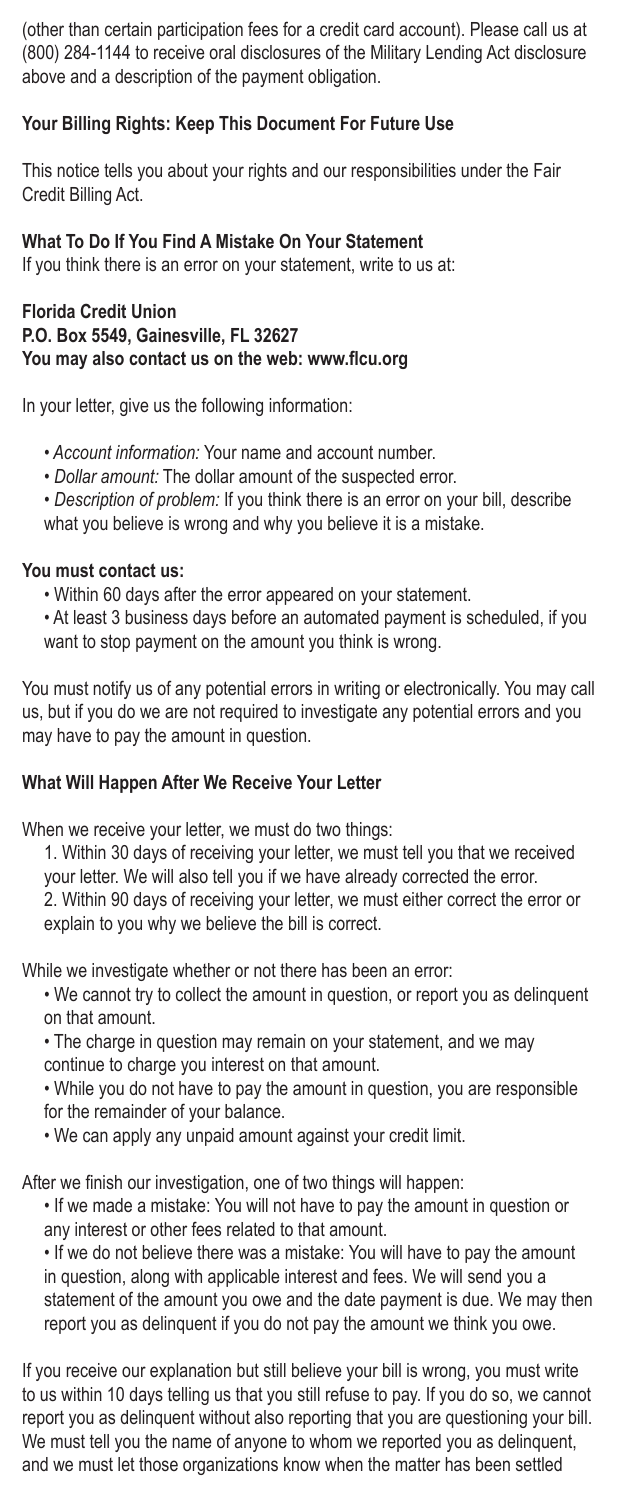(other than certain participation fees for a credit card account). Please call us at (800) 284-1144 to receive oral disclosures of the Military Lending Act disclosure above and a description of the payment obligation.

## **Your Billing Rights: Keep This Document For Future Use**

This notice tells you about your rights and our responsibilities under the Fair Credit Billing Act.

### **What To Do If You Find A Mistake On Your Statement**

If you think there is an error on your statement, write to us at:

#### **Florida Credit Union P.O. Box 5549, Gainesville, FL 32627 You may also contact us on the web: www.flcu.org**

In your letter, give us the following information:

- • *Account information:* Your name and account number.
- *Dollar amount:* The dollar amount of the suspected error.
- *Description of problem:* If you think there is an error on your bill, describe what you believe is wrong and why you believe it is a mistake.

#### **You must contact us:**

- Within 60 days after the error appeared on your statement.
- At least 3 business days before an automated payment is scheduled, if you want to stop payment on the amount you think is wrong.

You must notify us of any potential errors in writing or electronically. You may call us, but if you do we are not required to investigate any potential errors and you may have to pay the amount in question.

#### **What Will Happen After We Receive Your Letter**

When we receive your letter, we must do two things:

1. Within 30 days of receiving your letter, we must tell you that we received your letter. We will also tell you if we have already corrected the error. 2. Within 90 days of receiving your letter, we must either correct the error or explain to you why we believe the bill is correct.

While we investigate whether or not there has been an error:

- We cannot try to collect the amount in question, or report you as delinquent on that amount.
- The charge in question may remain on your statement, and we may continue to charge you interest on that amount.

• While you do not have to pay the amount in question, you are responsible for the remainder of your balance.

• We can apply any unpaid amount against your credit limit.

After we finish our investigation, one of two things will happen:

• If we made a mistake: You will not have to pay the amount in question or any interest or other fees related to that amount.

• If we do not believe there was a mistake: You will have to pay the amount in question, along with applicable interest and fees. We will send you a statement of the amount you owe and the date payment is due. We may then report you as delinquent if you do not pay the amount we think you owe.

If you receive our explanation but still believe your bill is wrong, you must write to us within 10 days telling us that you still refuse to pay. If you do so, we cannot report you as delinquent without also reporting that you are questioning your bill. We must tell you the name of anyone to whom we reported you as delinquent, and we must let those organizations know when the matter has been settled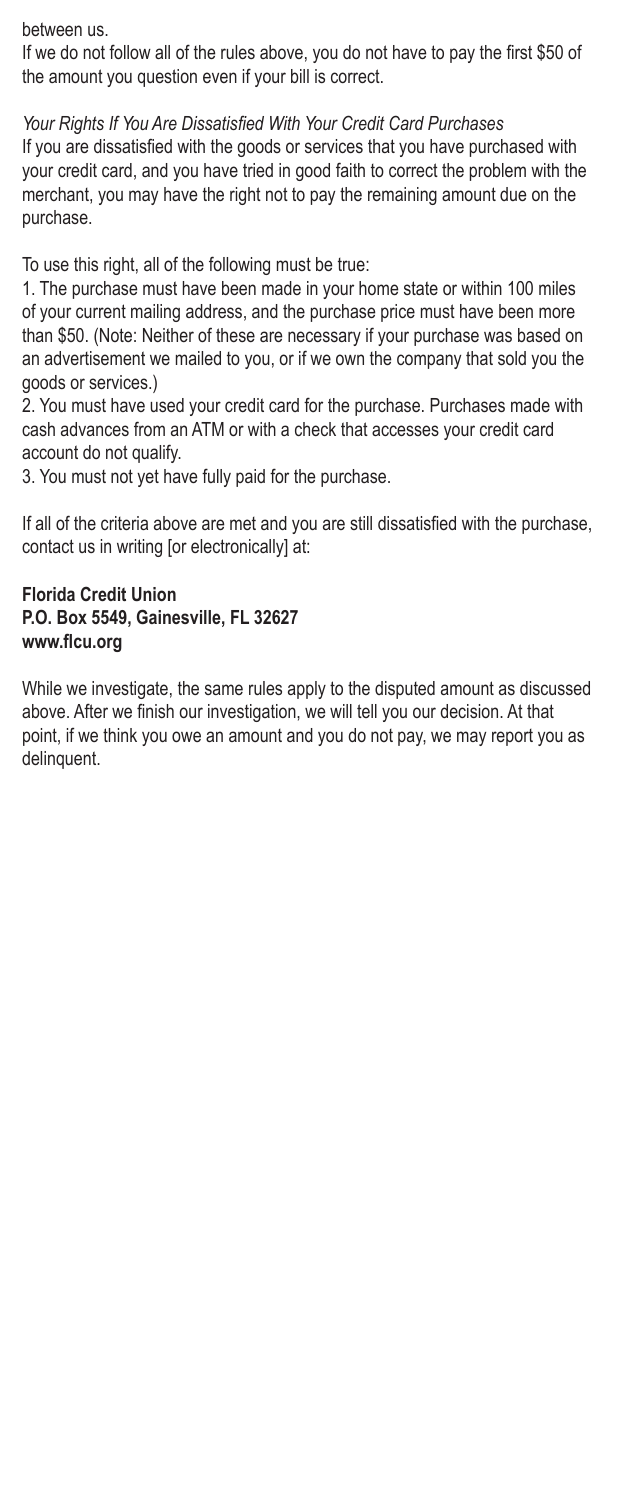between us.

If we do not follow all of the rules above, you do not have to pay the first \$50 of the amount you question even if your bill is correct.

*Your Rights If You Are Dissatisfied With Your Credit Card Purchases* If you are dissatisfied with the goods or services that you have purchased with your credit card, and you have tried in good faith to correct the problem with the merchant, you may have the right not to pay the remaining amount due on the purchase.

To use this right, all of the following must be true:

1. The purchase must have been made in your home state or within 100 miles of your current mailing address, and the purchase price must have been more than \$50. (Note: Neither of these are necessary if your purchase was based on an advertisement we mailed to you, or if we own the company that sold you the goods or services.)

2. You must have used your credit card for the purchase. Purchases made with cash advances from an ATM or with a check that accesses your credit card account do not qualify.

3. You must not yet have fully paid for the purchase.

If all of the criteria above are met and you are still dissatisfied with the purchase, contact us in writing [or electronically] at:

#### **Florida Credit Union P.O. Box 5549, Gainesville, FL 32627 www.flcu.org**

While we investigate, the same rules apply to the disputed amount as discussed above. After we finish our investigation, we will tell you our decision. At that point, if we think you owe an amount and you do not pay, we may report you as delinquent.